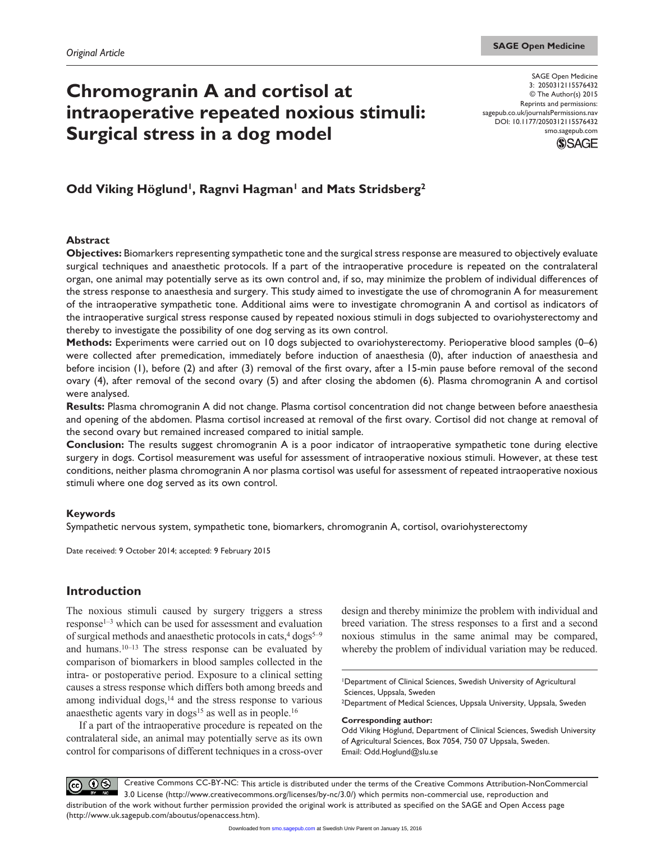# **Chromogranin A and cortisol at intraoperative repeated noxious stimuli: Surgical stress in a dog model**

SAGE Open Medicine 3: 2050312115576432 © The Author(s) 2015 Reprints and permissions: sagepub.co.uk/journalsPermissions.nav DOI: 10.1177/2050312115576432 smo.sagepub.com



# Odd Viking Höglund<sup>1</sup>, Ragnvi Hagman<sup>1</sup> and Mats Stridsberg<sup>2</sup>

#### **Abstract**

**Objectives:** Biomarkers representing sympathetic tone and the surgical stress response are measured to objectively evaluate surgical techniques and anaesthetic protocols. If a part of the intraoperative procedure is repeated on the contralateral organ, one animal may potentially serve as its own control and, if so, may minimize the problem of individual differences of the stress response to anaesthesia and surgery. This study aimed to investigate the use of chromogranin A for measurement of the intraoperative sympathetic tone. Additional aims were to investigate chromogranin A and cortisol as indicators of the intraoperative surgical stress response caused by repeated noxious stimuli in dogs subjected to ovariohysterectomy and thereby to investigate the possibility of one dog serving as its own control.

**Methods:** Experiments were carried out on 10 dogs subjected to ovariohysterectomy. Perioperative blood samples (0–6) were collected after premedication, immediately before induction of anaesthesia (0), after induction of anaesthesia and before incision (1), before (2) and after (3) removal of the first ovary, after a 15-min pause before removal of the second ovary (4), after removal of the second ovary (5) and after closing the abdomen (6). Plasma chromogranin A and cortisol were analysed.

**Results:** Plasma chromogranin A did not change. Plasma cortisol concentration did not change between before anaesthesia and opening of the abdomen. Plasma cortisol increased at removal of the first ovary. Cortisol did not change at removal of the second ovary but remained increased compared to initial sample.

**Conclusion:** The results suggest chromogranin A is a poor indicator of intraoperative sympathetic tone during elective surgery in dogs. Cortisol measurement was useful for assessment of intraoperative noxious stimuli. However, at these test conditions, neither plasma chromogranin A nor plasma cortisol was useful for assessment of repeated intraoperative noxious stimuli where one dog served as its own control.

## **Keywords**

Sympathetic nervous system, sympathetic tone, biomarkers, chromogranin A, cortisol, ovariohysterectomy

Date received: 9 October 2014; accepted: 9 February 2015

# **Introduction**

The noxious stimuli caused by surgery triggers a stress response1–3 which can be used for assessment and evaluation of surgical methods and anaesthetic protocols in cats, $4 \text{ dogs}^{5-9}$ and humans.10–13 The stress response can be evaluated by comparison of biomarkers in blood samples collected in the intra- or postoperative period. Exposure to a clinical setting causes a stress response which differs both among breeds and among individual dogs, $14$  and the stress response to various anaesthetic agents vary in  $\log^{15}$  as well as in people.<sup>16</sup>

If a part of the intraoperative procedure is repeated on the contralateral side, an animal may potentially serve as its own control for comparisons of different techniques in a cross-over design and thereby minimize the problem with individual and breed variation. The stress responses to a first and a second noxious stimulus in the same animal may be compared, whereby the problem of individual variation may be reduced.

1Department of Clinical Sciences, Swedish University of Agricultural Sciences, Uppsala, Sweden

2Department of Medical Sciences, Uppsala University, Uppsala, Sweden

**Corresponding author:**

Odd Viking Höglund, Department of Clinical Sciences, Swedish University of Agricultural Sciences, Box 7054, 750 07 Uppsala, Sweden. Email: [Odd.Hoglund@slu.se](mailto:Odd.Hoglund@slu.se)

Creative Commons CC-BY-NC: This article is distributed under the terms of the Creative Commons Attribution-NonCommercial  $\odot\otimes$  $(cc)$ 3.0 License (http://www.creativecommons.org/licenses/by-nc/3.0/) which permits non-commercial use, reproduction and distribution of the work without further permission provided the original work is attributed as specified on the SAGE and Open Access page (http://www.uk.sagepub.com/aboutus/openaccess.htm).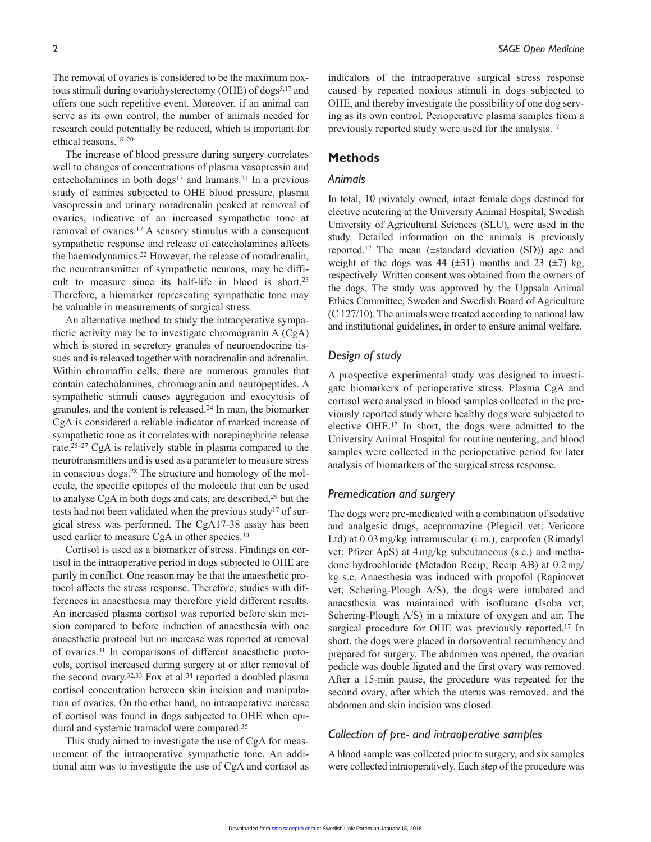The removal of ovaries is considered to be the maximum noxious stimuli during ovariohysterectomy (OHE) of dogs<sup>5,17</sup> and offers one such repetitive event. Moreover, if an animal can serve as its own control, the number of animals needed for research could potentially be reduced, which is important for ethical reasons.18–20

The increase of blood pressure during surgery correlates well to changes of concentrations of plasma vasopressin and catecholamines in both dogs<sup>17</sup> and humans.<sup>21</sup> In a previous study of canines subjected to OHE blood pressure, plasma vasopressin and urinary noradrenalin peaked at removal of ovaries, indicative of an increased sympathetic tone at removal of ovaries.17 A sensory stimulus with a consequent sympathetic response and release of catecholamines affects the haemodynamics.22 However, the release of noradrenalin, the neurotransmitter of sympathetic neurons, may be difficult to measure since its half-life in blood is short.<sup>23</sup> Therefore, a biomarker representing sympathetic tone may be valuable in measurements of surgical stress.

An alternative method to study the intraoperative sympathetic activity may be to investigate chromogranin A (CgA) which is stored in secretory granules of neuroendocrine tissues and is released together with noradrenalin and adrenalin. Within chromaffin cells, there are numerous granules that contain catecholamines, chromogranin and neuropeptides. A sympathetic stimuli causes aggregation and exocytosis of granules, and the content is released.24 In man, the biomarker CgA is considered a reliable indicator of marked increase of sympathetic tone as it correlates with norepinephrine release rate.25–27 CgA is relatively stable in plasma compared to the neurotransmitters and is used as a parameter to measure stress in conscious dogs.28 The structure and homology of the molecule, the specific epitopes of the molecule that can be used to analyse CgA in both dogs and cats, are described,<sup>29</sup> but the tests had not been validated when the previous study<sup>17</sup> of surgical stress was performed. The CgA17-38 assay has been used earlier to measure CgA in other species.<sup>30</sup>

Cortisol is used as a biomarker of stress. Findings on cortisol in the intraoperative period in dogs subjected to OHE are partly in conflict. One reason may be that the anaesthetic protocol affects the stress response. Therefore, studies with differences in anaesthesia may therefore yield different results. An increased plasma cortisol was reported before skin incision compared to before induction of anaesthesia with one anaesthetic protocol but no increase was reported at removal of ovaries.31 In comparisons of different anaesthetic protocols, cortisol increased during surgery at or after removal of the second ovary.<sup>32,33</sup> Fox et al.<sup>34</sup> reported a doubled plasma cortisol concentration between skin incision and manipulation of ovaries. On the other hand, no intraoperative increase of cortisol was found in dogs subjected to OHE when epidural and systemic tramadol were compared.35

This study aimed to investigate the use of CgA for measurement of the intraoperative sympathetic tone. An additional aim was to investigate the use of CgA and cortisol as indicators of the intraoperative surgical stress response caused by repeated noxious stimuli in dogs subjected to OHE, and thereby investigate the possibility of one dog serving as its own control. Perioperative plasma samples from a previously reported study were used for the analysis.17

# **Methods**

#### *Animals*

In total, 10 privately owned, intact female dogs destined for elective neutering at the University Animal Hospital, Swedish University of Agricultural Sciences (SLU), were used in the study. Detailed information on the animals is previously reported.17 The mean (±standard deviation (SD)) age and weight of the dogs was 44  $(\pm 31)$  months and 23  $(\pm 7)$  kg, respectively. Written consent was obtained from the owners of the dogs. The study was approved by the Uppsala Animal Ethics Committee, Sweden and Swedish Board of Agriculture (C 127/10). The animals were treated according to national law and institutional guidelines, in order to ensure animal welfare.

# *Design of study*

A prospective experimental study was designed to investigate biomarkers of perioperative stress. Plasma CgA and cortisol were analysed in blood samples collected in the previously reported study where healthy dogs were subjected to elective OHE.17 In short, the dogs were admitted to the University Animal Hospital for routine neutering, and blood samples were collected in the perioperative period for later analysis of biomarkers of the surgical stress response.

## *Premedication and surgery*

The dogs were pre-medicated with a combination of sedative and analgesic drugs, acepromazine (Plegicil vet; Vericore Ltd) at 0.03mg/kg intramuscular (i.m.), carprofen (Rimadyl vet; Pfizer ApS) at 4mg/kg subcutaneous (s.c.) and methadone hydrochloride (Metadon Recip; Recip AB) at 0.2mg/ kg s.c. Anaesthesia was induced with propofol (Rapinovet vet; Schering-Plough A/S), the dogs were intubated and anaesthesia was maintained with isoflurane (Isoba vet; Schering-Plough A/S) in a mixture of oxygen and air. The surgical procedure for OHE was previously reported.<sup>17</sup> In short, the dogs were placed in dorsoventral recumbency and prepared for surgery. The abdomen was opened, the ovarian pedicle was double ligated and the first ovary was removed. After a 15-min pause, the procedure was repeated for the second ovary, after which the uterus was removed, and the abdomen and skin incision was closed.

# *Collection of pre- and intraoperative samples*

A blood sample was collected prior to surgery, and six samples were collected intraoperatively. Each step of the procedure was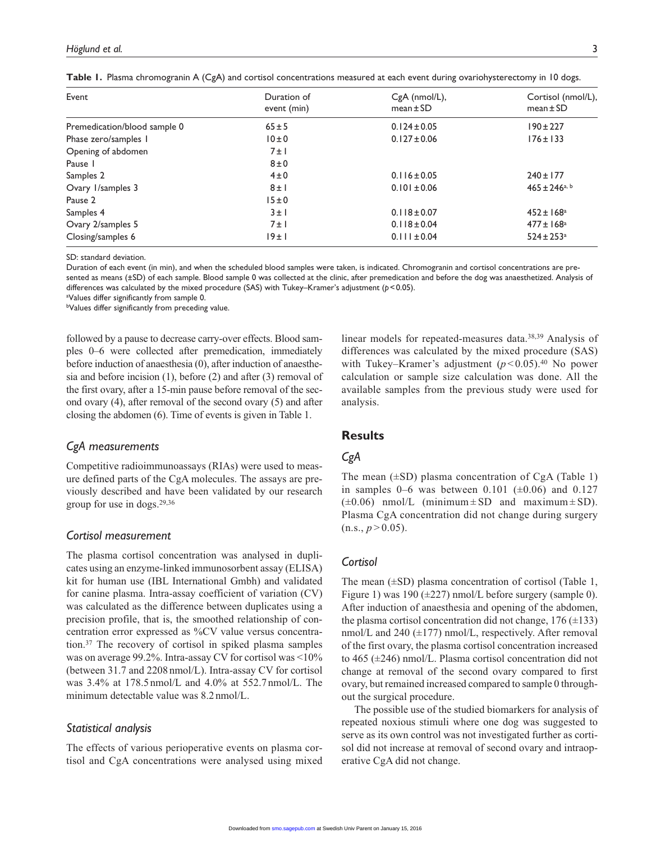| Event                        | Duration of<br>event (min) | CgA (nmol/L),<br>$mean \pm SD$ | Cortisol (nmol/L),<br>$mean \pm SD$ |
|------------------------------|----------------------------|--------------------------------|-------------------------------------|
| Premedication/blood sample 0 | $65 \pm 5$                 | $0.124 \pm 0.05$               | $190 \pm 227$                       |
| Phase zero/samples 1         | 10±0                       | $0.127 \pm 0.06$               | $176 \pm 133$                       |
| Opening of abdomen           | $7 \pm 1$                  |                                |                                     |
| Pause I                      | $8\pm0$                    |                                |                                     |
| Samples 2                    | $4\pm0$                    | $0.116 \pm 0.05$               | $240 \pm 177$                       |
| Ovary 1/samples 3            | $8 \pm 1$                  | $0.101 \pm 0.06$               | $465 \pm 246$ <sub>a, b</sub>       |
| Pause 2                      | 15±0                       |                                |                                     |
| Samples 4                    | $3 \pm 1$                  | $0.118 \pm 0.07$               | $452 \pm 168$ <sup>a</sup>          |
| Ovary 2/samples 5            | $7 \pm 1$                  | $0.118 \pm 0.04$               | $477 \pm 168$ <sup>a</sup>          |
| Closing/samples 6            | 19±1                       | $0.111 \pm 0.04$               | $524 \pm 253$ <sup>a</sup>          |

**Table 1.** Plasma chromogranin A (CgA) and cortisol concentrations measured at each event during ovariohysterectomy in 10 dogs.

SD: standard deviation.

Duration of each event (in min), and when the scheduled blood samples were taken, is indicated. Chromogranin and cortisol concentrations are presented as means (±SD) of each sample. Blood sample 0 was collected at the clinic, after premedication and before the dog was anaesthetized. Analysis of differences was calculated by the mixed procedure (SAS) with Tukey–Kramer's adjustment (*p*<0.05).

a Values differ significantly from sample 0.

bValues differ significantly from preceding value.

followed by a pause to decrease carry-over effects. Blood samples 0–6 were collected after premedication, immediately before induction of anaesthesia (0), after induction of anaesthesia and before incision (1), before (2) and after (3) removal of the first ovary, after a 15-min pause before removal of the second ovary (4), after removal of the second ovary (5) and after closing the abdomen (6). Time of events is given in Table 1.

## *CgA measurements*

Competitive radioimmunoassays (RIAs) were used to measure defined parts of the CgA molecules. The assays are previously described and have been validated by our research group for use in dogs.29,36

#### *Cortisol measurement*

The plasma cortisol concentration was analysed in duplicates using an enzyme-linked immunosorbent assay (ELISA) kit for human use (IBL International Gmbh) and validated for canine plasma. Intra-assay coefficient of variation (CV) was calculated as the difference between duplicates using a precision profile, that is, the smoothed relationship of concentration error expressed as %CV value versus concentration.37 The recovery of cortisol in spiked plasma samples was on average 99.2%. Intra-assay CV for cortisol was <10% (between 31.7 and 2208nmol/L). Intra-assay CV for cortisol was 3.4% at 178.5nmol/L and 4.0% at 552.7nmol/L. The minimum detectable value was 8.2 nmol/L.

## *Statistical analysis*

The effects of various perioperative events on plasma cortisol and CgA concentrations were analysed using mixed linear models for repeated-measures data.38,39 Analysis of differences was calculated by the mixed procedure (SAS) with Tukey–Kramer's adjustment  $(p<0.05)$ <sup>40</sup> No power calculation or sample size calculation was done. All the available samples from the previous study were used for analysis.

## **Results**

# *CgA*

The mean  $(\pm SD)$  plasma concentration of CgA (Table 1) in samples 0–6 was between 0.101 ( $\pm$ 0.06) and 0.127  $(\pm 0.06)$  nmol/L (minimum  $\pm$  SD and maximum  $\pm$  SD). Plasma CgA concentration did not change during surgery  $(n.s., p > 0.05)$ .

#### *Cortisol*

The mean  $(\pm SD)$  plasma concentration of cortisol (Table 1, Figure 1) was 190 ( $\pm$ 227) nmol/L before surgery (sample 0). After induction of anaesthesia and opening of the abdomen, the plasma cortisol concentration did not change,  $176 (\pm 133)$ nmol/L and 240  $(\pm 177)$  nmol/L, respectively. After removal of the first ovary, the plasma cortisol concentration increased to 465 (±246) nmol/L. Plasma cortisol concentration did not change at removal of the second ovary compared to first ovary, but remained increased compared to sample 0 throughout the surgical procedure.

The possible use of the studied biomarkers for analysis of repeated noxious stimuli where one dog was suggested to serve as its own control was not investigated further as cortisol did not increase at removal of second ovary and intraoperative CgA did not change.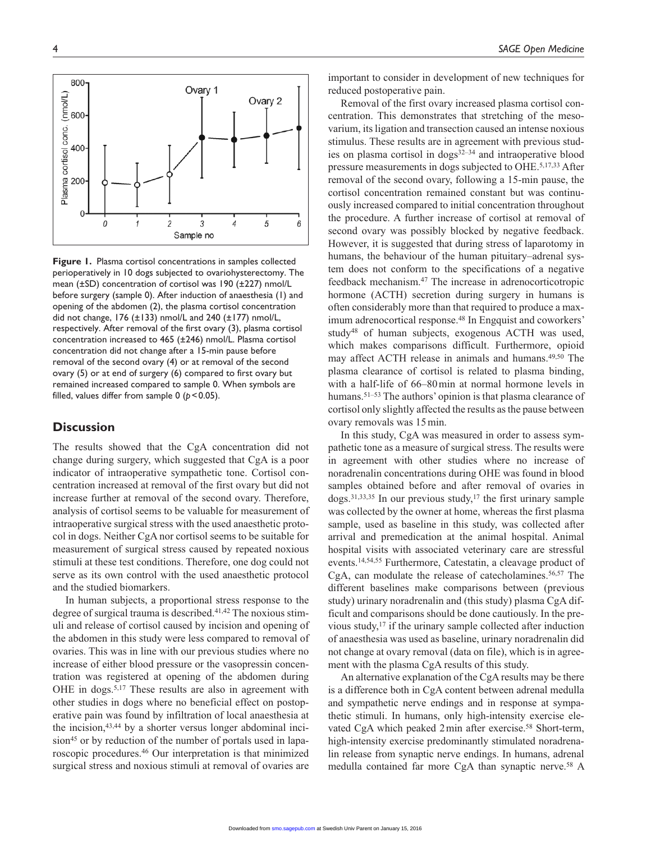**Figure 1.** Plasma cortisol concentrations in samples collected perioperatively in 10 dogs subjected to ovariohysterectomy. The mean (±SD) concentration of cortisol was 190 (±227) nmol/L before surgery (sample 0). After induction of anaesthesia (1) and opening of the abdomen (2), the plasma cortisol concentration did not change, 176 (±133) nmol/L and 240 (±177) nmol/L, respectively. After removal of the first ovary (3), plasma cortisol concentration increased to 465 (±246) nmol/L. Plasma cortisol concentration did not change after a 15-min pause before removal of the second ovary (4) or at removal of the second ovary (5) or at end of surgery (6) compared to first ovary but remained increased compared to sample 0. When symbols are filled, values differ from sample  $0$  ( $p < 0.05$ ).

## **Discussion**

The results showed that the CgA concentration did not change during surgery, which suggested that CgA is a poor indicator of intraoperative sympathetic tone. Cortisol concentration increased at removal of the first ovary but did not increase further at removal of the second ovary. Therefore, analysis of cortisol seems to be valuable for measurement of intraoperative surgical stress with the used anaesthetic protocol in dogs. Neither CgA nor cortisol seems to be suitable for measurement of surgical stress caused by repeated noxious stimuli at these test conditions. Therefore, one dog could not serve as its own control with the used anaesthetic protocol and the studied biomarkers.

In human subjects, a proportional stress response to the degree of surgical trauma is described.41,42 The noxious stimuli and release of cortisol caused by incision and opening of the abdomen in this study were less compared to removal of ovaries. This was in line with our previous studies where no increase of either blood pressure or the vasopressin concentration was registered at opening of the abdomen during OHE in dogs.5,17 These results are also in agreement with other studies in dogs where no beneficial effect on postoperative pain was found by infiltration of local anaesthesia at the incision,43,44 by a shorter versus longer abdominal incision<sup>45</sup> or by reduction of the number of portals used in laparoscopic procedures.46 Our interpretation is that minimized surgical stress and noxious stimuli at removal of ovaries are

important to consider in development of new techniques for reduced postoperative pain.

Removal of the first ovary increased plasma cortisol concentration. This demonstrates that stretching of the mesovarium, its ligation and transection caused an intense noxious stimulus. These results are in agreement with previous studies on plasma cortisol in  $\frac{1}{2}$  and intraoperative blood pressure measurements in dogs subjected to OHE.5,17,33 After removal of the second ovary, following a 15-min pause, the cortisol concentration remained constant but was continuously increased compared to initial concentration throughout the procedure. A further increase of cortisol at removal of second ovary was possibly blocked by negative feedback. However, it is suggested that during stress of laparotomy in humans, the behaviour of the human pituitary–adrenal system does not conform to the specifications of a negative feedback mechanism.47 The increase in adrenocorticotropic hormone (ACTH) secretion during surgery in humans is often considerably more than that required to produce a maximum adrenocortical response.48 In Engquist and coworkers' study48 of human subjects, exogenous ACTH was used, which makes comparisons difficult. Furthermore, opioid may affect ACTH release in animals and humans.49,50 The plasma clearance of cortisol is related to plasma binding, with a half-life of 66–80min at normal hormone levels in humans.<sup>51–53</sup> The authors' opinion is that plasma clearance of cortisol only slightly affected the results as the pause between ovary removals was 15min.

In this study, CgA was measured in order to assess sympathetic tone as a measure of surgical stress. The results were in agreement with other studies where no increase of noradrenalin concentrations during OHE was found in blood samples obtained before and after removal of ovaries in  $\log s$ <sup>31,33,35</sup> In our previous study,<sup>17</sup> the first urinary sample was collected by the owner at home, whereas the first plasma sample, used as baseline in this study, was collected after arrival and premedication at the animal hospital. Animal hospital visits with associated veterinary care are stressful events.14,54,55 Furthermore, Catestatin, a cleavage product of CgA, can modulate the release of catecholamines.56,57 The different baselines make comparisons between (previous study) urinary noradrenalin and (this study) plasma CgA difficult and comparisons should be done cautiously. In the previous study,17 if the urinary sample collected after induction of anaesthesia was used as baseline, urinary noradrenalin did not change at ovary removal (data on file), which is in agreement with the plasma CgA results of this study.

An alternative explanation of the CgA results may be there is a difference both in CgA content between adrenal medulla and sympathetic nerve endings and in response at sympathetic stimuli. In humans, only high-intensity exercise elevated CgA which peaked 2 min after exercise.<sup>58</sup> Short-term, high-intensity exercise predominantly stimulated noradrenalin release from synaptic nerve endings. In humans, adrenal medulla contained far more CgA than synaptic nerve.58 A

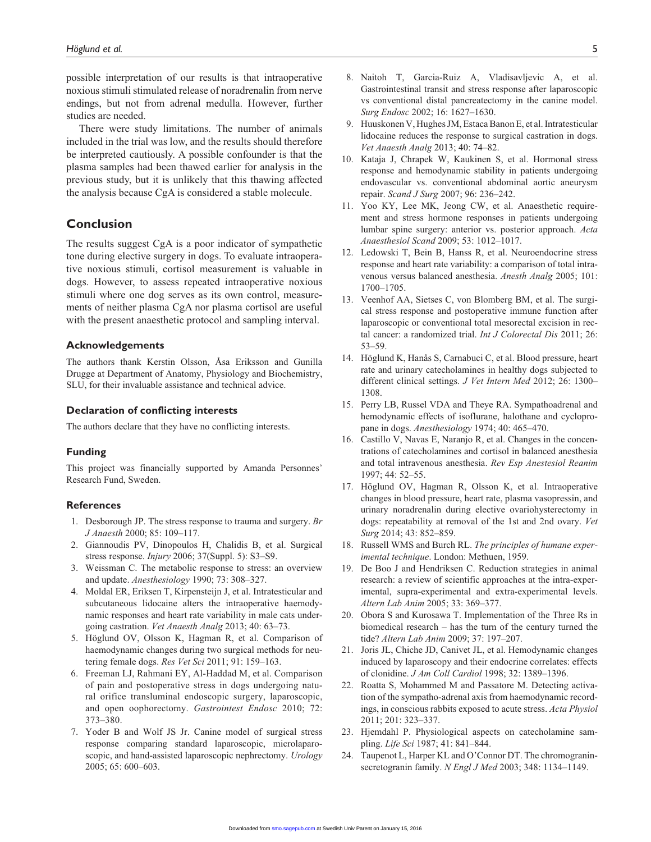possible interpretation of our results is that intraoperative noxious stimuli stimulated release of noradrenalin from nerve endings, but not from adrenal medulla. However, further studies are needed.

There were study limitations. The number of animals included in the trial was low, and the results should therefore be interpreted cautiously. A possible confounder is that the plasma samples had been thawed earlier for analysis in the previous study, but it is unlikely that this thawing affected the analysis because CgA is considered a stable molecule.

# **Conclusion**

The results suggest CgA is a poor indicator of sympathetic tone during elective surgery in dogs. To evaluate intraoperative noxious stimuli, cortisol measurement is valuable in dogs. However, to assess repeated intraoperative noxious stimuli where one dog serves as its own control, measurements of neither plasma CgA nor plasma cortisol are useful with the present anaesthetic protocol and sampling interval.

#### **Acknowledgements**

The authors thank Kerstin Olsson, Åsa Eriksson and Gunilla Drugge at Department of Anatomy, Physiology and Biochemistry, SLU, for their invaluable assistance and technical advice.

#### **Declaration of conflicting interests**

The authors declare that they have no conflicting interests.

#### **Funding**

This project was financially supported by Amanda Personnes' Research Fund, Sweden.

#### **References**

- 1. Desborough JP. The stress response to trauma and surgery. *Br J Anaesth* 2000; 85: 109–117.
- 2. Giannoudis PV, Dinopoulos H, Chalidis B, et al. Surgical stress response. *Injury* 2006; 37(Suppl. 5): S3–S9.
- 3. Weissman C. The metabolic response to stress: an overview and update. *Anesthesiology* 1990; 73: 308–327.
- 4. Moldal ER, Eriksen T, Kirpensteijn J, et al. Intratesticular and subcutaneous lidocaine alters the intraoperative haemodynamic responses and heart rate variability in male cats undergoing castration. *Vet Anaesth Analg* 2013; 40: 63–73.
- 5. Höglund OV, Olsson K, Hagman R, et al. Comparison of haemodynamic changes during two surgical methods for neutering female dogs. *Res Vet Sci* 2011; 91: 159–163.
- 6. Freeman LJ, Rahmani EY, Al-Haddad M, et al. Comparison of pain and postoperative stress in dogs undergoing natural orifice transluminal endoscopic surgery, laparoscopic, and open oophorectomy. *Gastrointest Endosc* 2010; 72: 373–380.
- 7. Yoder B and Wolf JS Jr. Canine model of surgical stress response comparing standard laparoscopic, microlaparoscopic, and hand-assisted laparoscopic nephrectomy. *Urology* 2005; 65: 600–603.
- 8. Naitoh T, Garcia-Ruiz A, Vladisavljevic A, et al. Gastrointestinal transit and stress response after laparoscopic vs conventional distal pancreatectomy in the canine model. *Surg Endosc* 2002; 16: 1627–1630.
- 9. Huuskonen V, Hughes JM, Estaca Banon E, et al. Intratesticular lidocaine reduces the response to surgical castration in dogs. *Vet Anaesth Analg* 2013; 40: 74–82.
- 10. Kataja J, Chrapek W, Kaukinen S, et al. Hormonal stress response and hemodynamic stability in patients undergoing endovascular vs. conventional abdominal aortic aneurysm repair. *Scand J Surg* 2007; 96: 236–242.
- 11. Yoo KY, Lee MK, Jeong CW, et al. Anaesthetic requirement and stress hormone responses in patients undergoing lumbar spine surgery: anterior vs. posterior approach. *Acta Anaesthesiol Scand* 2009; 53: 1012–1017.
- 12. Ledowski T, Bein B, Hanss R, et al. Neuroendocrine stress response and heart rate variability: a comparison of total intravenous versus balanced anesthesia. *Anesth Analg* 2005; 101: 1700–1705.
- 13. Veenhof AA, Sietses C, von Blomberg BM, et al. The surgical stress response and postoperative immune function after laparoscopic or conventional total mesorectal excision in rectal cancer: a randomized trial. *Int J Colorectal Dis* 2011; 26: 53–59.
- 14. Höglund K, Hanås S, Carnabuci C, et al. Blood pressure, heart rate and urinary catecholamines in healthy dogs subjected to different clinical settings. *J Vet Intern Med* 2012; 26: 1300– 1308.
- 15. Perry LB, Russel VDA and Theye RA. Sympathoadrenal and hemodynamic effects of isoflurane, halothane and cyclopropane in dogs. *Anesthesiology* 1974; 40: 465–470.
- 16. Castillo V, Navas E, Naranjo R, et al. Changes in the concentrations of catecholamines and cortisol in balanced anesthesia and total intravenous anesthesia. *Rev Esp Anestesiol Reanim* 1997; 44: 52–55.
- 17. Höglund OV, Hagman R, Olsson K, et al. Intraoperative changes in blood pressure, heart rate, plasma vasopressin, and urinary noradrenalin during elective ovariohysterectomy in dogs: repeatability at removal of the 1st and 2nd ovary. *Vet Surg* 2014; 43: 852–859.
- 18. Russell WMS and Burch RL. *The principles of humane experimental technique*. London: Methuen, 1959.
- 19. De Boo J and Hendriksen C. Reduction strategies in animal research: a review of scientific approaches at the intra-experimental, supra-experimental and extra-experimental levels. *Altern Lab Anim* 2005; 33: 369–377.
- 20. Obora S and Kurosawa T. Implementation of the Three Rs in biomedical research – has the turn of the century turned the tide? *Altern Lab Anim* 2009; 37: 197–207.
- 21. Joris JL, Chiche JD, Canivet JL, et al. Hemodynamic changes induced by laparoscopy and their endocrine correlates: effects of clonidine. *J Am Coll Cardiol* 1998; 32: 1389–1396.
- 22. Roatta S, Mohammed M and Passatore M. Detecting activation of the sympatho-adrenal axis from haemodynamic recordings, in conscious rabbits exposed to acute stress. *Acta Physiol* 2011; 201: 323–337.
- 23. Hjemdahl P. Physiological aspects on catecholamine sampling. *Life Sci* 1987; 41: 841–844.
- 24. Taupenot L, Harper KL and O'Connor DT. The chromograninsecretogranin family. *N Engl J Med* 2003; 348: 1134–1149.